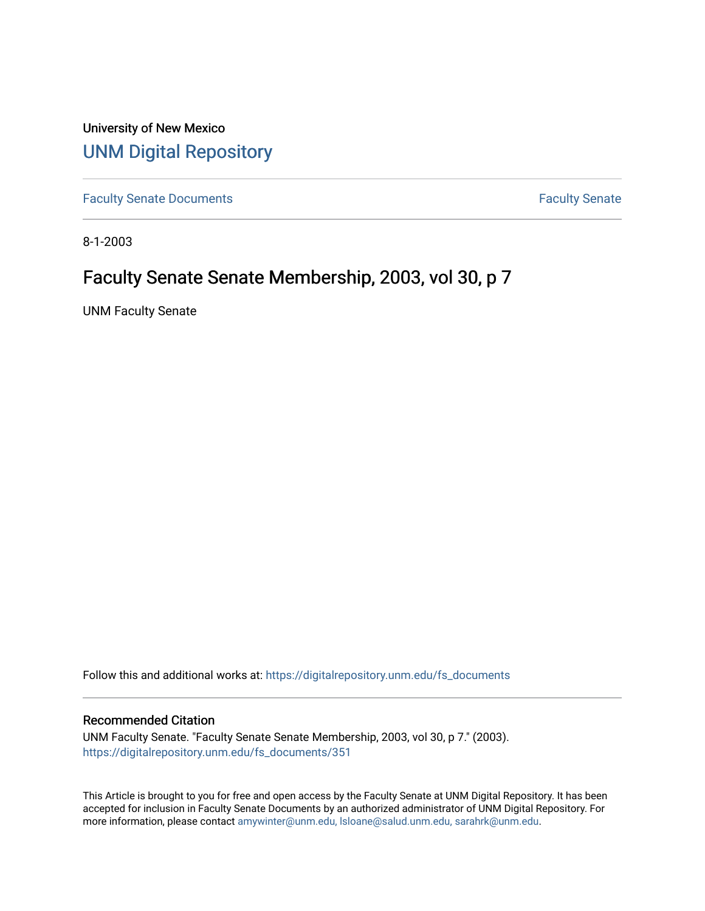University of New Mexico [UNM Digital Repository](https://digitalrepository.unm.edu/) 

[Faculty Senate Documents](https://digitalrepository.unm.edu/fs_documents) **Faculty** Senate **Faculty** Senate

8-1-2003

# Faculty Senate Senate Membership, 2003, vol 30, p 7

UNM Faculty Senate

Follow this and additional works at: [https://digitalrepository.unm.edu/fs\\_documents](https://digitalrepository.unm.edu/fs_documents?utm_source=digitalrepository.unm.edu%2Ffs_documents%2F351&utm_medium=PDF&utm_campaign=PDFCoverPages)

## Recommended Citation

UNM Faculty Senate. "Faculty Senate Senate Membership, 2003, vol 30, p 7." (2003). [https://digitalrepository.unm.edu/fs\\_documents/351](https://digitalrepository.unm.edu/fs_documents/351?utm_source=digitalrepository.unm.edu%2Ffs_documents%2F351&utm_medium=PDF&utm_campaign=PDFCoverPages)

This Article is brought to you for free and open access by the Faculty Senate at UNM Digital Repository. It has been accepted for inclusion in Faculty Senate Documents by an authorized administrator of UNM Digital Repository. For more information, please contact [amywinter@unm.edu, lsloane@salud.unm.edu, sarahrk@unm.edu](mailto:amywinter@unm.edu,%20lsloane@salud.unm.edu,%20sarahrk@unm.edu).